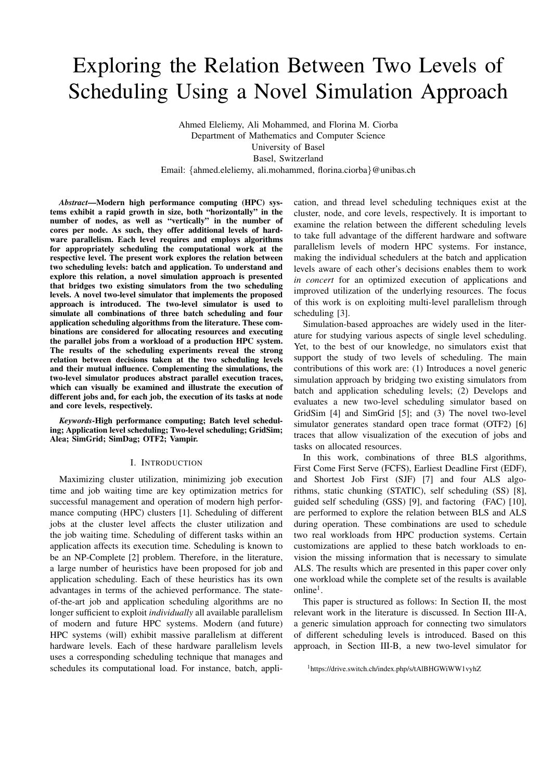# Exploring the Relation Between Two Levels of Scheduling Using a Novel Simulation Approach

Ahmed Eleliemy, Ali Mohammed, and Florina M. Ciorba Department of Mathematics and Computer Science University of Basel Basel, Switzerland Email: {ahmed.eleliemy, ali.mohammed, florina.ciorba}@unibas.ch

*Abstract*—Modern high performance computing (HPC) systems exhibit a rapid growth in size, both "horizontally" in the number of nodes, as well as "vertically" in the number of cores per node. As such, they offer additional levels of hardware parallelism. Each level requires and employs algorithms for appropriately scheduling the computational work at the respective level. The present work explores the relation between two scheduling levels: batch and application. To understand and explore this relation, a novel simulation approach is presented that bridges two existing simulators from the two scheduling levels. A novel two-level simulator that implements the proposed approach is introduced. The two-level simulator is used to simulate all combinations of three batch scheduling and four application scheduling algorithms from the literature. These combinations are considered for allocating resources and executing the parallel jobs from a workload of a production HPC system. The results of the scheduling experiments reveal the strong relation between decisions taken at the two scheduling levels and their mutual influence. Complementing the simulations, the two-level simulator produces abstract parallel execution traces, which can visually be examined and illustrate the execution of different jobs and, for each job, the execution of its tasks at node and core levels, respectively.

*Keywords*-High performance computing; Batch level scheduling; Application level scheduling; Two-level scheduling; GridSim; Alea; SimGrid; SimDag; OTF2; Vampir.

#### I. INTRODUCTION

Maximizing cluster utilization, minimizing job execution time and job waiting time are key optimization metrics for successful management and operation of modern high performance computing (HPC) clusters [1]. Scheduling of different jobs at the cluster level affects the cluster utilization and the job waiting time. Scheduling of different tasks within an application affects its execution time. Scheduling is known to be an NP-Complete [2] problem. Therefore, in the literature, a large number of heuristics have been proposed for job and application scheduling. Each of these heuristics has its own advantages in terms of the achieved performance. The stateof-the-art job and application scheduling algorithms are no longer sufficient to exploit *individually* all available parallelism of modern and future HPC systems. Modern (and future) HPC systems (will) exhibit massive parallelism at different hardware levels. Each of these hardware parallelism levels uses a corresponding scheduling technique that manages and schedules its computational load. For instance, batch, appli-

cation, and thread level scheduling techniques exist at the cluster, node, and core levels, respectively. It is important to examine the relation between the different scheduling levels to take full advantage of the different hardware and software parallelism levels of modern HPC systems. For instance, making the individual schedulers at the batch and application levels aware of each other's decisions enables them to work *in concert* for an optimized execution of applications and improved utilization of the underlying resources. The focus of this work is on exploiting multi-level parallelism through scheduling [3].

Simulation-based approaches are widely used in the literature for studying various aspects of single level scheduling. Yet, to the best of our knowledge, no simulators exist that support the study of two levels of scheduling. The main contributions of this work are: (1) Introduces a novel generic simulation approach by bridging two existing simulators from batch and application scheduling levels; (2) Develops and evaluates a new two-level scheduling simulator based on GridSim [4] and SimGrid [5]; and (3) The novel two-level simulator generates standard open trace format (OTF2) [6] traces that allow visualization of the execution of jobs and tasks on allocated resources.

In this work, combinations of three BLS algorithms, First Come First Serve (FCFS), Earliest Deadline First (EDF), and Shortest Job First (SJF) [7] and four ALS algorithms, static chunking (STATIC), self scheduling (SS) [8], guided self scheduling (GSS) [9], and factoring (FAC) [10], are performed to explore the relation between BLS and ALS during operation. These combinations are used to schedule two real workloads from HPC production systems. Certain customizations are applied to these batch workloads to envision the missing information that is necessary to simulate ALS. The results which are presented in this paper cover only one workload while the complete set of the results is available  $online<sup>1</sup>$ .

This paper is structured as follows: In Section II, the most relevant work in the literature is discussed. In Section III-A, a generic simulation approach for connecting two simulators of different scheduling levels is introduced. Based on this approach, in Section III-B, a new two-level simulator for

<sup>1</sup>https://drive.switch.ch/index.php/s/tAlBHGWiWW1vyhZ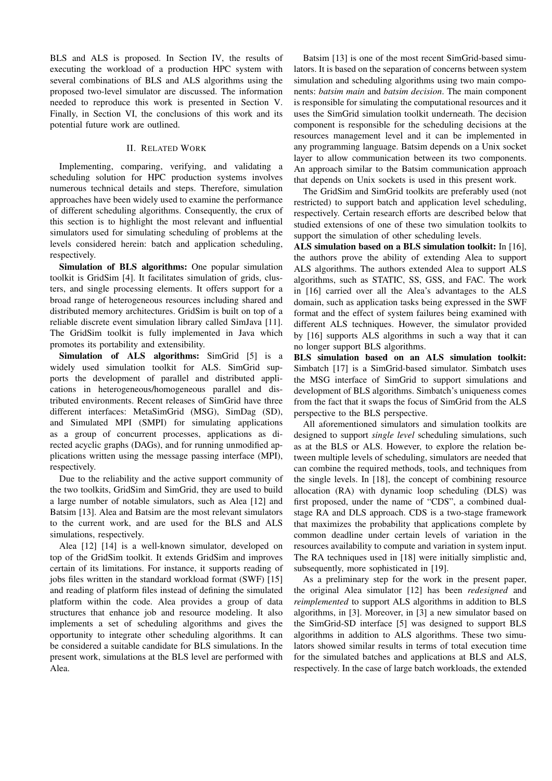BLS and ALS is proposed. In Section IV, the results of executing the workload of a production HPC system with several combinations of BLS and ALS algorithms using the proposed two-level simulator are discussed. The information needed to reproduce this work is presented in Section V. Finally, in Section VI, the conclusions of this work and its potential future work are outlined.

## II. RELATED WORK

Implementing, comparing, verifying, and validating a scheduling solution for HPC production systems involves numerous technical details and steps. Therefore, simulation approaches have been widely used to examine the performance of different scheduling algorithms. Consequently, the crux of this section is to highlight the most relevant and influential simulators used for simulating scheduling of problems at the levels considered herein: batch and application scheduling, respectively.

Simulation of BLS algorithms: One popular simulation toolkit is GridSim [4]. It facilitates simulation of grids, clusters, and single processing elements. It offers support for a broad range of heterogeneous resources including shared and distributed memory architectures. GridSim is built on top of a reliable discrete event simulation library called SimJava [11]. The GridSim toolkit is fully implemented in Java which promotes its portability and extensibility.

Simulation of ALS algorithms: SimGrid [5] is a widely used simulation toolkit for ALS. SimGrid supports the development of parallel and distributed applications in heterogeneous/homogeneous parallel and distributed environments. Recent releases of SimGrid have three different interfaces: MetaSimGrid (MSG), SimDag (SD), and Simulated MPI (SMPI) for simulating applications as a group of concurrent processes, applications as directed acyclic graphs (DAGs), and for running unmodified applications written using the message passing interface (MPI), respectively.

Due to the reliability and the active support community of the two toolkits, GridSim and SimGrid, they are used to build a large number of notable simulators, such as Alea [12] and Batsim [13]. Alea and Batsim are the most relevant simulators to the current work, and are used for the BLS and ALS simulations, respectively.

Alea [12] [14] is a well-known simulator, developed on top of the GridSim toolkit. It extends GridSim and improves certain of its limitations. For instance, it supports reading of jobs files written in the standard workload format (SWF) [15] and reading of platform files instead of defining the simulated platform within the code. Alea provides a group of data structures that enhance job and resource modeling. It also implements a set of scheduling algorithms and gives the opportunity to integrate other scheduling algorithms. It can be considered a suitable candidate for BLS simulations. In the present work, simulations at the BLS level are performed with Alea.

Batsim [13] is one of the most recent SimGrid-based simulators. It is based on the separation of concerns between system simulation and scheduling algorithms using two main components: *batsim main* and *batsim decision*. The main component is responsible for simulating the computational resources and it uses the SimGrid simulation toolkit underneath. The decision component is responsible for the scheduling decisions at the resources management level and it can be implemented in any programming language. Batsim depends on a Unix socket layer to allow communication between its two components. An approach similar to the Batsim communication approach that depends on Unix sockets is used in this present work.

The GridSim and SimGrid toolkits are preferably used (not restricted) to support batch and application level scheduling, respectively. Certain research efforts are described below that studied extensions of one of these two simulation toolkits to support the simulation of other scheduling levels.

ALS simulation based on a BLS simulation toolkit: In [16], the authors prove the ability of extending Alea to support ALS algorithms. The authors extended Alea to support ALS algorithms, such as STATIC, SS, GSS, and FAC. The work in [16] carried over all the Alea's advantages to the ALS domain, such as application tasks being expressed in the SWF format and the effect of system failures being examined with different ALS techniques. However, the simulator provided by [16] supports ALS algorithms in such a way that it can no longer support BLS algorithms.

BLS simulation based on an ALS simulation toolkit: Simbatch [17] is a SimGrid-based simulator. Simbatch uses the MSG interface of SimGrid to support simulations and development of BLS algorithms. Simbatch's uniqueness comes from the fact that it swaps the focus of SimGrid from the ALS perspective to the BLS perspective.

All aforementioned simulators and simulation toolkits are designed to support *single level* scheduling simulations, such as at the BLS or ALS. However, to explore the relation between multiple levels of scheduling, simulators are needed that can combine the required methods, tools, and techniques from the single levels. In [18], the concept of combining resource allocation (RA) with dynamic loop scheduling (DLS) was first proposed, under the name of "CDS", a combined dualstage RA and DLS approach. CDS is a two-stage framework that maximizes the probability that applications complete by common deadline under certain levels of variation in the resources availability to compute and variation in system input. The RA techniques used in [18] were initially simplistic and, subsequently, more sophisticated in [19].

As a preliminary step for the work in the present paper, the original Alea simulator [12] has been *redesigned* and *reimplemented* to support ALS algorithms in addition to BLS algorithms, in [3]. Moreover, in [3] a new simulator based on the SimGrid-SD interface [5] was designed to support BLS algorithms in addition to ALS algorithms. These two simulators showed similar results in terms of total execution time for the simulated batches and applications at BLS and ALS, respectively. In the case of large batch workloads, the extended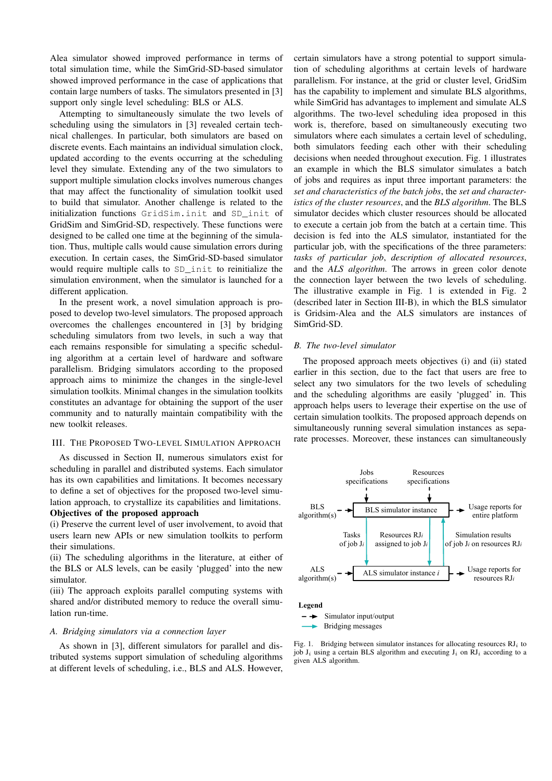Alea simulator showed improved performance in terms of total simulation time, while the SimGrid-SD-based simulator showed improved performance in the case of applications that contain large numbers of tasks. The simulators presented in [3] support only single level scheduling: BLS or ALS.

Attempting to simultaneously simulate the two levels of scheduling using the simulators in [3] revealed certain technical challenges. In particular, both simulators are based on discrete events. Each maintains an individual simulation clock, updated according to the events occurring at the scheduling level they simulate. Extending any of the two simulators to support multiple simulation clocks involves numerous changes that may affect the functionality of simulation toolkit used to build that simulator. Another challenge is related to the initialization functions GridSim.init and SD\_init of GridSim and SimGrid-SD, respectively. These functions were designed to be called one time at the beginning of the simulation. Thus, multiple calls would cause simulation errors during execution. In certain cases, the SimGrid-SD-based simulator would require multiple calls to SD\_init to reinitialize the simulation environment, when the simulator is launched for a different application.

In the present work, a novel simulation approach is proposed to develop two-level simulators. The proposed approach overcomes the challenges encountered in [3] by bridging scheduling simulators from two levels, in such a way that each remains responsible for simulating a specific scheduling algorithm at a certain level of hardware and software parallelism. Bridging simulators according to the proposed approach aims to minimize the changes in the single-level simulation toolkits. Minimal changes in the simulation toolkits constitutes an advantage for obtaining the support of the user community and to naturally maintain compatibility with the new toolkit releases.

# III. THE PROPOSED TWO-LEVEL SIMULATION APPROACH

As discussed in Section II, numerous simulators exist for scheduling in parallel and distributed systems. Each simulator has its own capabilities and limitations. It becomes necessary to define a set of objectives for the proposed two-level simulation approach, to crystallize its capabilities and limitations.

# Objectives of the proposed approach

(i) Preserve the current level of user involvement, to avoid that users learn new APIs or new simulation toolkits to perform their simulations.

(ii) The scheduling algorithms in the literature, at either of the BLS or ALS levels, can be easily 'plugged' into the new simulator.

(iii) The approach exploits parallel computing systems with shared and/or distributed memory to reduce the overall simulation run-time.

#### *A. Bridging simulators via a connection layer*

As shown in [3], different simulators for parallel and distributed systems support simulation of scheduling algorithms at different levels of scheduling, i.e., BLS and ALS. However,

certain simulators have a strong potential to support simulation of scheduling algorithms at certain levels of hardware parallelism. For instance, at the grid or cluster level, GridSim has the capability to implement and simulate BLS algorithms, while SimGrid has advantages to implement and simulate ALS algorithms. The two-level scheduling idea proposed in this work is, therefore, based on simultaneously executing two simulators where each simulates a certain level of scheduling, both simulators feeding each other with their scheduling decisions when needed throughout execution. Fig. 1 illustrates an example in which the BLS simulator simulates a batch of jobs and requires as input three important parameters: the *set and characteristics of the batch jobs*, the *set and characteristics of the cluster resources*, and the *BLS algorithm*. The BLS simulator decides which cluster resources should be allocated to execute a certain job from the batch at a certain time. This decision is fed into the ALS simulator, instantiated for the particular job, with the specifications of the three parameters: *tasks of particular job*, *description of allocated resources*, and the *ALS algorithm*. The arrows in green color denote the connection layer between the two levels of scheduling. The illustrative example in Fig. 1 is extended in Fig. 2 (described later in Section III-B), in which the BLS simulator is Gridsim-Alea and the ALS simulators are instances of SimGrid-SD.

#### *B. The two-level simulator*

The proposed approach meets objectives (i) and (ii) stated earlier in this section, due to the fact that users are free to select any two simulators for the two levels of scheduling and the scheduling algorithms are easily 'plugged' in. This approach helps users to leverage their expertise on the use of certain simulation toolkits. The proposed approach depends on simultaneously running several simulation instances as separate processes. Moreover, these instances can simultaneously



**Legend**

 $-+$ Simulator input/output



Fig. 1. Bridging between simulator instances for allocating resources  $RJ_i$  to job  $J_i$  using a certain BLS algorithm and executing  $J_i$  on  $\overline{R}J_i$  according to a given ALS algorithm.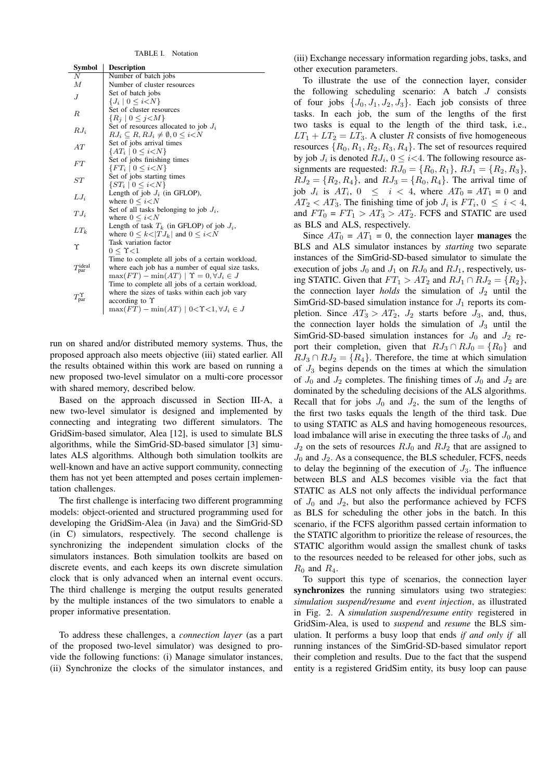TABLE I. Notation

| Symbol                      | <b>Description</b>                                                                                                                                                                 |
|-----------------------------|------------------------------------------------------------------------------------------------------------------------------------------------------------------------------------|
| N                           | Number of batch jobs                                                                                                                                                               |
| М                           | Number of cluster resources                                                                                                                                                        |
| J                           | Set of batch jobs<br>${J_i \mid 0 \leq i < N}$                                                                                                                                     |
| $\boldsymbol{R}$            | Set of cluster resources<br>${R_j \mid 0 \leq j < M}$                                                                                                                              |
| $RJ_i$                      | Set of resources allocated to job $J_i$<br>$RJ_i \subseteq R$ , $RJ_i \neq \emptyset$ , $0 \leq i \leq N$                                                                          |
| AT                          | Set of jobs arrival times<br>$\{AT_i \mid 0 \leq i \lt N\}$                                                                                                                        |
| FT                          | Set of jobs finishing times<br>$\{FT_i \mid 0 \leq i \leq N\}$                                                                                                                     |
| $_{ST}$                     | Set of jobs starting times<br>$\{ST_i \mid 0 \leq i \lt N\}$                                                                                                                       |
| $LJ_i$                      | Length of job $J_i$ (in GFLOP),<br>where $0 \leq i \leq N$                                                                                                                         |
| $TJ_i$                      | Set of all tasks belonging to job $J_i$ ,<br>where $0 \leq i \leq N$                                                                                                               |
| $LT_k$                      | Length of task $T_k$ (in GFLOP) of job $J_i$ ,<br>where $0 \leq k \leq  T J_k $ and $0 \leq i \leq N$                                                                              |
| Υ                           | Task variation factor<br>$0 \leq \Upsilon \leq 1$                                                                                                                                  |
| $T$ ideal<br>par            | Time to complete all jobs of a certain workload,<br>where each job has a number of equal size tasks,<br>$\max(FT) - \min(AT)$   $\Upsilon = 0, \forall J_i \in J$                  |
| $T^{\Upsilon}_{\text{par}}$ | Time to complete all jobs of a certain workload,<br>where the sizes of tasks within each job vary<br>according to Y<br>$\max(FT) - \min(AT)   0 < \Upsilon < 1, \forall J_i \in J$ |

run on shared and/or distributed memory systems. Thus, the proposed approach also meets objective (iii) stated earlier. All the results obtained within this work are based on running a new proposed two-level simulator on a multi-core processor with shared memory, described below.

Based on the approach discussed in Section III-A, a new two-level simulator is designed and implemented by connecting and integrating two different simulators. The GridSim-based simulator, Alea [12], is used to simulate BLS algorithms, while the SimGrid-SD-based simulator [3] simulates ALS algorithms. Although both simulation toolkits are well-known and have an active support community, connecting them has not yet been attempted and poses certain implementation challenges.

The first challenge is interfacing two different programming models: object-oriented and structured programming used for developing the GridSim-Alea (in Java) and the SimGrid-SD (in C) simulators, respectively. The second challenge is synchronizing the independent simulation clocks of the simulators instances. Both simulation toolkits are based on discrete events, and each keeps its own discrete simulation clock that is only advanced when an internal event occurs. The third challenge is merging the output results generated by the multiple instances of the two simulators to enable a proper informative presentation.

To address these challenges, a *connection layer* (as a part of the proposed two-level simulator) was designed to provide the following functions: (i) Manage simulator instances, (ii) Synchronize the clocks of the simulator instances, and (iii) Exchange necessary information regarding jobs, tasks, and other execution parameters.

To illustrate the use of the connection layer, consider the following scheduling scenario: A batch  $J$  consists of four jobs  $\{J_0, J_1, J_2, J_3\}$ . Each job consists of three tasks. In each job, the sum of the lengths of the first two tasks is equal to the length of the third task, i.e.,  $LT_1 + LT_2 = LT_3$ . A cluster R consists of five homogeneous resources  $\{R_0, R_1, R_2, R_3, R_4\}$ . The set of resources required by job  $J_i$  is denoted  $RJ_i$ ,  $0 \le i \le 4$ . The following resource assignments are requested:  $RJ_0 = \{R_0, R_1\}, RJ_1 = \{R_2, R_3\},$  $RJ_2 = \{R_2, R_4\}$ , and  $RJ_3 = \{R_0, R_4\}$ . The arrival time of job  $J_i$  is  $AT_i$ ,  $0 \le i < 4$ , where  $AT_0 = AT_1 = 0$  and  $AT_2 < AT_3$ . The finishing time of job  $J_i$  is  $FT_i$ ,  $0 \le i < 4$ , and  $FT_0 = FT_1 > AT_3 > AT_2$ . FCFS and STATIC are used as BLS and ALS, respectively.

Since  $AT_0 = AT_1 = 0$ , the connection layer **manages** the BLS and ALS simulator instances by *starting* two separate instances of the SimGrid-SD-based simulator to simulate the execution of jobs  $J_0$  and  $J_1$  on  $RJ_0$  and  $RJ_1$ , respectively, using STATIC. Given that  $FT_1 > AT_2$  and  $RJ_1 \cap RJ_2 = \{R_2\},\$ the connection layer *holds* the simulation of  $J_2$  until the SimGrid-SD-based simulation instance for  $J_1$  reports its completion. Since  $AT_3 > AT_2$ ,  $J_2$  starts before  $J_3$ , and, thus, the connection layer holds the simulation of  $J_3$  until the SimGrid-SD-based simulation instances for  $J_0$  and  $J_2$  report their completion, given that  $RJ_3 \cap RJ_0 = \{R_0\}$  and  $RJ_3 \cap RJ_2 = \{R_4\}.$  Therefore, the time at which simulation of  $J_3$  begins depends on the times at which the simulation of  $J_0$  and  $J_2$  completes. The finishing times of  $J_0$  and  $J_2$  are dominated by the scheduling decisions of the ALS algorithms. Recall that for jobs  $J_0$  and  $J_2$ , the sum of the lengths of the first two tasks equals the length of the third task. Due to using STATIC as ALS and having homogeneous resources, load imbalance will arise in executing the three tasks of  $J_0$  and  $J_2$  on the sets of resources  $RJ_0$  and  $RJ_2$  that are assigned to  $J_0$  and  $J_2$ . As a consequence, the BLS scheduler, FCFS, needs to delay the beginning of the execution of  $J_3$ . The influence between BLS and ALS becomes visible via the fact that STATIC as ALS not only affects the individual performance of  $J_0$  and  $J_2$ , but also the performance achieved by FCFS as BLS for scheduling the other jobs in the batch. In this scenario, if the FCFS algorithm passed certain information to the STATIC algorithm to prioritize the release of resources, the STATIC algorithm would assign the smallest chunk of tasks to the resources needed to be released for other jobs, such as  $R_0$  and  $R_4$ .

To support this type of scenarios, the connection layer synchronizes the running simulators using two strategies: *simulation suspend/resume* and *event injection*, as illustrated in Fig. 2. A *simulation suspend/resume entity* registered in GridSim-Alea, is used to *suspend* and *resume* the BLS simulation. It performs a busy loop that ends *if and only if* all running instances of the SimGrid-SD-based simulator report their completion and results. Due to the fact that the suspend entity is a registered GridSim entity, its busy loop can pause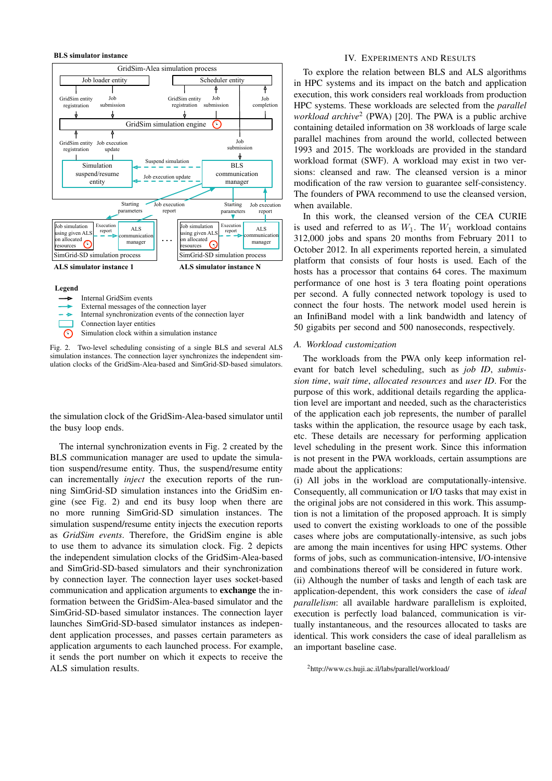# **BLS simulator instance**



Internal GridSim events External messages of the connection layer  $\sim$ Internal synchronization events of the connection layer Connection layer entities г  $\circledcirc$ Simulation clock within a simulation instance

Fig. 2. Two-level scheduling consisting of a single BLS and several ALS simulation instances. The connection layer synchronizes the independent simulation clocks of the GridSim-Alea-based and SimGrid-SD-based simulators.

the simulation clock of the GridSim-Alea-based simulator until the busy loop ends.

The internal synchronization events in Fig. 2 created by the BLS communication manager are used to update the simulation suspend/resume entity. Thus, the suspend/resume entity can incrementally *inject* the execution reports of the running SimGrid-SD simulation instances into the GridSim engine (see Fig. 2) and end its busy loop when there are no more running SimGrid-SD simulation instances. The simulation suspend/resume entity injects the execution reports as *GridSim events*. Therefore, the GridSim engine is able to use them to advance its simulation clock. Fig. 2 depicts the independent simulation clocks of the GridSim-Alea-based and SimGrid-SD-based simulators and their synchronization by connection layer. The connection layer uses socket-based communication and application arguments to exchange the information between the GridSim-Alea-based simulator and the SimGrid-SD-based simulator instances. The connection layer launches SimGrid-SD-based simulator instances as independent application processes, and passes certain parameters as application arguments to each launched process. For example, it sends the port number on which it expects to receive the ALS simulation results.

# IV. EXPERIMENTS AND RESULTS

To explore the relation between BLS and ALS algorithms in HPC systems and its impact on the batch and application execution, this work considers real workloads from production HPC systems. These workloads are selected from the *parallel* workload archive<sup>2</sup> (PWA) [20]. The PWA is a public archive containing detailed information on 38 workloads of large scale parallel machines from around the world, collected between 1993 and 2015. The workloads are provided in the standard workload format (SWF). A workload may exist in two versions: cleansed and raw. The cleansed version is a minor modification of the raw version to guarantee self-consistency. The founders of PWA recommend to use the cleansed version, when available.

In this work, the cleansed version of the CEA CURIE is used and referred to as  $W_1$ . The  $W_1$  workload contains 312,000 jobs and spans 20 months from February 2011 to October 2012. In all experiments reported herein, a simulated platform that consists of four hosts is used. Each of the hosts has a processor that contains 64 cores. The maximum performance of one host is 3 tera floating point operations per second. A fully connected network topology is used to connect the four hosts. The network model used herein is an InfiniBand model with a link bandwidth and latency of 50 gigabits per second and 500 nanoseconds, respectively.

# *A. Workload customization*

The workloads from the PWA only keep information relevant for batch level scheduling, such as *job ID*, *submission time*, *wait time*, *allocated resources* and *user ID*. For the purpose of this work, additional details regarding the application level are important and needed, such as the characteristics of the application each job represents, the number of parallel tasks within the application, the resource usage by each task, etc. These details are necessary for performing application level scheduling in the present work. Since this information is not present in the PWA workloads, certain assumptions are made about the applications:

(i) All jobs in the workload are computationally-intensive. Consequently, all communication or I/O tasks that may exist in the original jobs are not considered in this work. This assumption is not a limitation of the proposed approach. It is simply used to convert the existing workloads to one of the possible cases where jobs are computationally-intensive, as such jobs are among the main incentives for using HPC systems. Other forms of jobs, such as communication-intensive, I/O-intensive and combinations thereof will be considered in future work. (ii) Although the number of tasks and length of each task are application-dependent, this work considers the case of *ideal parallelism*: all available hardware parallelism is exploited, execution is perfectly load balanced, communication is virtually instantaneous, and the resources allocated to tasks are identical. This work considers the case of ideal parallelism as an important baseline case.

<sup>2</sup>http://www.cs.huji.ac.il/labs/parallel/workload/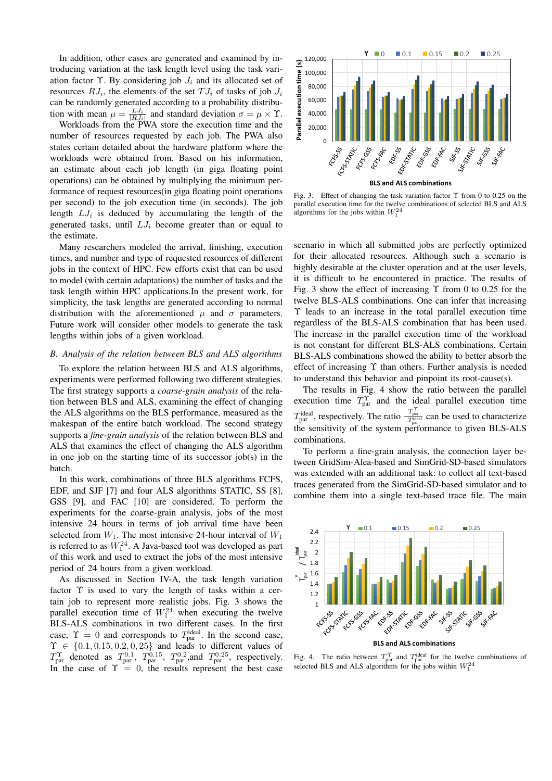In addition, other cases are generated and examined by introducing variation at the task length level using the task variation factor  $\Upsilon$ . By considering job  $J_i$  and its allocated set of resources  $RJ_i$ , the elements of the set  $TJ_i$  of tasks of job  $J_i$ can be randomly generated according to a probability distribution with mean  $\mu = \frac{LJ_i}{|RJ_i|}$  and standard deviation  $\sigma = \mu \times \Upsilon$ .

Workloads from the PWA store the execution time and the number of resources requested by each job. The PWA also states certain detailed about the hardware platform where the workloads were obtained from. Based on his information, an estimate about each job length (in giga floating point operations) can be obtained by multiplying the minimum performance of request resources(in giga floating point operations per second) to the job execution time (in seconds). The job length  $LJ_i$  is deduced by accumulating the length of the generated tasks, until  $LJ_i$  become greater than or equal to the estimate.

Many researchers modeled the arrival, finishing, execution times, and number and type of requested resources of different jobs in the context of HPC. Few efforts exist that can be used to model (with certain adaptations) the number of tasks and the task length within HPC applications.In the present work, for simplicity, the task lengths are generated according to normal distribution with the aforementioned  $\mu$  and  $\sigma$  parameters. Future work will consider other models to generate the task lengths within jobs of a given workload.

# *B. Analysis of the relation between BLS and ALS algorithms*

To explore the relation between BLS and ALS algorithms, experiments were performed following two different strategies. The first strategy supports a *coarse-grain analysis* of the relation between BLS and ALS, examining the effect of changing the ALS algorithms on the BLS performance, measured as the makespan of the entire batch workload. The second strategy supports a *fine-grain analysis* of the relation between BLS and ALS that examines the effect of changing the ALS algorithm in one job on the starting time of its successor job(s) in the batch.

In this work, combinations of three BLS algorithms FCFS, EDF, and SJF [7] and four ALS algorithms STATIC, SS [8], GSS [9], and FAC [10] are considered. To perform the experiments for the coarse-grain analysis, jobs of the most intensive 24 hours in terms of job arrival time have been selected from  $W_1$ . The most intensive 24-hour interval of  $W_1$ is referred to as  $W_1^{24}$ . A Java-based tool was developed as part of this work and used to extract the jobs of the most intensive period of 24 hours from a given workload.

As discussed in Section IV-A, the task length variation factor  $\Upsilon$  is used to vary the length of tasks within a certain job to represent more realistic jobs. Fig. 3 shows the parallel execution time of  $W_1^{24}$  when executing the twelve BLS-ALS combinations in two different cases. In the first case,  $\Upsilon = 0$  and corresponds to  $T_{\text{par}}^{\text{ideal}}$ . In the second case,  $\Upsilon \in \{0.1, 0.15, 0.2, 0, 25\}$  and leads to different values of  $T_{\text{par}}^{\Upsilon}$  denoted as  $T_{\text{par}}^{0.1}$ ,  $T_{\text{par}}^{0.15}$ ,  $T_{\text{par}}^{0.2}$ , and  $T_{\text{par}}^{0.25}$ , respectively. In the case of  $\Upsilon = 0$ , the results represent the best case



Fig. 3. Effect of changing the task variation factor Υ from 0 to 0.25 on the parallel execution time for the twelve combinations of selected BLS and ALS algorithms for the jobs within  $W_1^{24}$ 

scenario in which all submitted jobs are perfectly optimized for their allocated resources. Although such a scenario is highly desirable at the cluster operation and at the user levels, it is difficult to be encountered in practice. The results of Fig. 3 show the effect of increasing  $\Upsilon$  from 0 to 0.25 for the twelve BLS-ALS combinations. One can infer that increasing Υ leads to an increase in the total parallel execution time regardless of the BLS-ALS combination that has been used. The increase in the parallel execution time of the workload is not constant for different BLS-ALS combinations. Certain BLS-ALS combinations showed the ability to better absorb the effect of increasing Υ than others. Further analysis is needed to understand this behavior and pinpoint its root-cause(s).

The results in Fig. 4 show the ratio between the parallel execution time  $T_{\text{par}}^{\Upsilon}$  and the ideal parallel execution time  $T_{\text{par}}^{\text{ideal}}$ , respectively. The ratio  $\frac{T_{\text{par}}^{\text{ar}}}{T_{\text{par}}^{\text{ideal}}}$  can be used to characterize the sensitivity of the system performance to given BLS-ALS combinations.

To perform a fine-grain analysis, the connection layer between GridSim-Alea-based and SimGrid-SD-based simulators was extended with an additional task: to collect all text-based traces generated from the SimGrid-SD-based simulator and to combine them into a single text-based trace file. The main



Fig. 4. The ratio between  $T_{\text{par}}^{\Upsilon}$  and  $T_{\text{par}}^{\text{ideal}}$  for the twelve combinations of selected BLS and ALS algorithms for the jobs within  $W_1^{24}$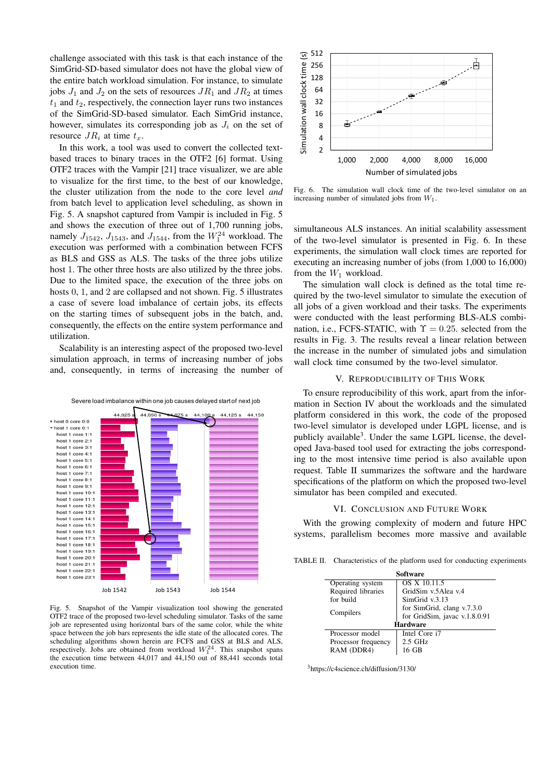challenge associated with this task is that each instance of the SimGrid-SD-based simulator does not have the global view of the entire batch workload simulation. For instance, to simulate jobs  $J_1$  and  $J_2$  on the sets of resources  $JR_1$  and  $JR_2$  at times  $t_1$  and  $t_2$ , respectively, the connection layer runs two instances of the SimGrid-SD-based simulator. Each SimGrid instance, however, simulates its corresponding job as  $J_i$  on the set of resource  $JR_i$  at time  $t_x$ .

In this work, a tool was used to convert the collected textbased traces to binary traces in the OTF2 [6] format. Using OTF2 traces with the Vampir [21] trace visualizer, we are able to visualize for the first time, to the best of our knowledge, the cluster utilization from the node to the core level *and* from batch level to application level scheduling, as shown in Fig. 5. A snapshot captured from Vampir is included in Fig. 5 and shows the execution of three out of 1,700 running jobs, namely  $J_{1542}$ ,  $J_{1543}$ , and  $J_{1544}$ , from the  $W_1^{24}$  workload. The execution was performed with a combination between FCFS as BLS and GSS as ALS. The tasks of the three jobs utilize host 1. The other three hosts are also utilized by the three jobs. Due to the limited space, the execution of the three jobs on hosts 0, 1, and 2 are collapsed and not shown. Fig. 5 illustrates a case of severe load imbalance of certain jobs, its effects on the starting times of subsequent jobs in the batch, and, consequently, the effects on the entire system performance and utilization.

Scalability is an interesting aspect of the proposed two-level simulation approach, in terms of increasing number of jobs and, consequently, in terms of increasing the number of



Fig. 5. Snapshot of the Vampir visualization tool showing the generated OTF2 trace of the proposed two-level scheduling simulator. Tasks of the same job are represented using horizontal bars of the same color, while the white space between the job bars represents the idle state of the allocated cores. The scheduling algorithms shown herein are FCFS and GSS at BLS and ALS, respectively. Jobs are obtained from workload  $W_1^{24}$ . This snapshot spans the execution time between 44,017 and 44,150 out of 88,441 seconds total execution time.



Fig. 6. The simulation wall clock time of the two-level simulator on an increasing number of simulated jobs from  $W_1$ .

simultaneous ALS instances. An initial scalability assessment of the two-level simulator is presented in Fig. 6. In these experiments, the simulation wall clock times are reported for executing an increasing number of jobs (from 1,000 to 16,000) from the  $W_1$  workload.

The simulation wall clock is defined as the total time required by the two-level simulator to simulate the execution of all jobs of a given workload and their tasks. The experiments were conducted with the least performing BLS-ALS combination, i.e., FCFS-STATIC, with  $\Upsilon = 0.25$ . selected from the results in Fig. 3. The results reveal a linear relation between the increase in the number of simulated jobs and simulation wall clock time consumed by the two-level simulator.

#### V. REPRODUCIBILITY OF THIS WORK

To ensure reproducibility of this work, apart from the information in Section IV about the workloads and the simulated platform considered in this work, the code of the proposed two-level simulator is developed under LGPL license, and is publicly available<sup>3</sup>. Under the same LGPL license, the developed Java-based tool used for extracting the jobs corresponding to the most intensive time period is also available upon request. Table II summarizes the software and the hardware specifications of the platform on which the proposed two-level simulator has been compiled and executed.

#### VI. CONCLUSION AND FUTURE WORK

With the growing complexity of modern and future HPC systems, parallelism becomes more massive and available

| Software            |                               |  |  |
|---------------------|-------------------------------|--|--|
| Operating system    | OS X 10.11.5                  |  |  |
| Required libraries  | GridSim v.5Alea v.4           |  |  |
| for build           | SimGrid v.3.13                |  |  |
|                     | for SimGrid, clang v.7.3.0    |  |  |
| Compilers           | for GridSim, javac v.1.8.0.91 |  |  |
| <b>Hardware</b>     |                               |  |  |
| Processor model     | Intel Core i7                 |  |  |
| Processor frequency | $2.5$ GHz                     |  |  |
| RAM (DDR4)          | 16 GB                         |  |  |

TABLE II. Characteristics of the platform used for conducting experiments

<sup>3</sup>https://c4science.ch/diffusion/3130/